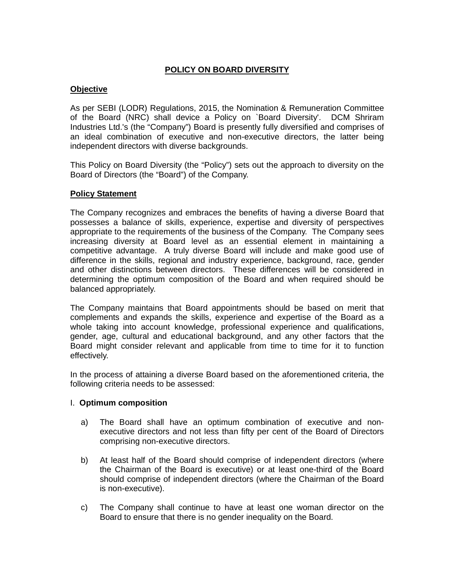# **POLICY ON BOARD DIVERSITY**

## **Objective**

As per SEBI (LODR) Regulations, 2015, the Nomination & Remuneration Committee of the Board (NRC) shall device a Policy on `Board Diversity'. DCM Shriram Industries Ltd.'s (the "Company") Board is presently fully diversified and comprises of an ideal combination of executive and non-executive directors, the latter being independent directors with diverse backgrounds.

This Policy on Board Diversity (the "Policy") sets out the approach to diversity on the Board of Directors (the "Board") of the Company.

## **Policy Statement**

The Company recognizes and embraces the benefits of having a diverse Board that possesses a balance of skills, experience, expertise and diversity of perspectives appropriate to the requirements of the business of the Company. The Company sees increasing diversity at Board level as an essential element in maintaining a competitive advantage. A truly diverse Board will include and make good use of difference in the skills, regional and industry experience, background, race, gender and other distinctions between directors. These differences will be considered in determining the optimum composition of the Board and when required should be balanced appropriately.

The Company maintains that Board appointments should be based on merit that complements and expands the skills, experience and expertise of the Board as a whole taking into account knowledge, professional experience and qualifications, gender, age, cultural and educational background, and any other factors that the Board might consider relevant and applicable from time to time for it to function effectively.

In the process of attaining a diverse Board based on the aforementioned criteria, the following criteria needs to be assessed:

#### I. **Optimum composition**

- a) The Board shall have an optimum combination of executive and nonexecutive directors and not less than fifty per cent of the Board of Directors comprising non-executive directors.
- b) At least half of the Board should comprise of independent directors (where the Chairman of the Board is executive) or at least one-third of the Board should comprise of independent directors (where the Chairman of the Board is non-executive).
- c) The Company shall continue to have at least one woman director on the Board to ensure that there is no gender inequality on the Board.